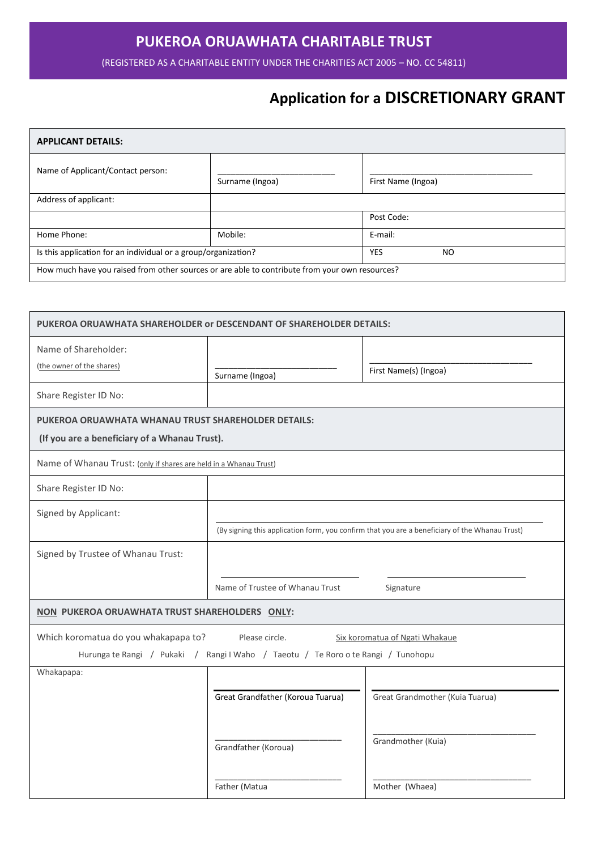## **PUKEROA ORUAWHATA CHARITABLE TRUST**

(REGISTERED AS A CHARITABLE ENTITY UNDER THE CHARITIES ACT 2005 – NO. CC 54811)

# **Application for a DISCRETIONARY GRANT**

| <b>APPLICANT DETAILS:</b>                                                                      |                 |                    |  |  |
|------------------------------------------------------------------------------------------------|-----------------|--------------------|--|--|
| Name of Applicant/Contact person:                                                              | Surname (Ingoa) | First Name (Ingoa) |  |  |
| Address of applicant:                                                                          |                 |                    |  |  |
|                                                                                                |                 | Post Code:         |  |  |
| Home Phone:                                                                                    | Mobile:         | E-mail:            |  |  |
| Is this application for an individual or a group/organization?                                 |                 | <b>YES</b><br>NO   |  |  |
| How much have you raised from other sources or are able to contribute from your own resources? |                 |                    |  |  |

| PUKEROA ORUAWHATA SHAREHOLDER or DESCENDANT OF SHAREHOLDER DETAILS:                                                                                                           |                                                                                                |                                 |  |  |  |
|-------------------------------------------------------------------------------------------------------------------------------------------------------------------------------|------------------------------------------------------------------------------------------------|---------------------------------|--|--|--|
| Name of Shareholder:<br>(the owner of the shares)                                                                                                                             | Surname (Ingoa)                                                                                | First Name(s) (Ingoa)           |  |  |  |
| Share Register ID No:                                                                                                                                                         |                                                                                                |                                 |  |  |  |
| PUKEROA ORUAWHATA WHANAU TRUST SHAREHOLDER DETAILS:<br>(If you are a beneficiary of a Whanau Trust).                                                                          |                                                                                                |                                 |  |  |  |
| Name of Whanau Trust: (only if shares are held in a Whanau Trust)                                                                                                             |                                                                                                |                                 |  |  |  |
| Share Register ID No:                                                                                                                                                         |                                                                                                |                                 |  |  |  |
| Signed by Applicant:                                                                                                                                                          | (By signing this application form, you confirm that you are a beneficiary of the Whanau Trust) |                                 |  |  |  |
| Signed by Trustee of Whanau Trust:                                                                                                                                            |                                                                                                |                                 |  |  |  |
|                                                                                                                                                                               | Name of Trustee of Whanau Trust                                                                | Signature                       |  |  |  |
| NON PUKEROA ORUAWHATA TRUST SHAREHOLDERS ONLY:                                                                                                                                |                                                                                                |                                 |  |  |  |
| Which koromatua do you whakapapa to?<br>Please circle.<br>Six koromatua of Ngati Whakaue<br>Hurunga te Rangi / Pukaki / Rangi I Waho / Taeotu / Te Roro o te Rangi / Tunohopu |                                                                                                |                                 |  |  |  |
| Whakapapa:                                                                                                                                                                    | Great Grandfather (Koroua Tuarua)                                                              | Great Grandmother (Kuia Tuarua) |  |  |  |
|                                                                                                                                                                               | Grandfather (Koroua)                                                                           | Grandmother (Kuia)              |  |  |  |
|                                                                                                                                                                               | Father (Matua                                                                                  | Mother (Whaea)                  |  |  |  |